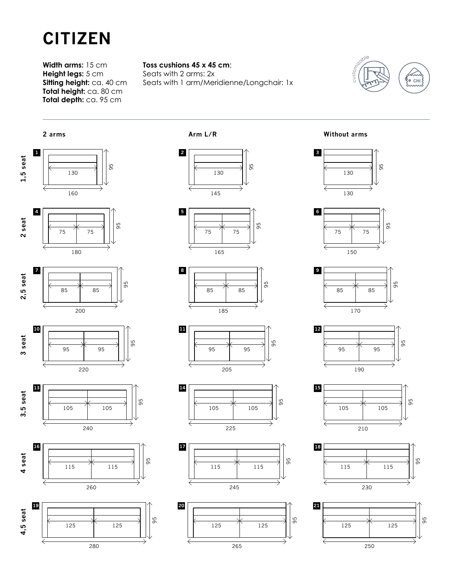

**Width arms:** 15 cm **Height legs:** 5 cm **Sitting height:** ca. 40 cm **Total height:** ca. 80 cm **Total depth:** ca. 95 cm

## **Toss cushions 45 x 45 cm**:

Seats with 2 arms: 2x Seats with 1 arm/Meridienne/Longchair: 1x



















**Without arms**